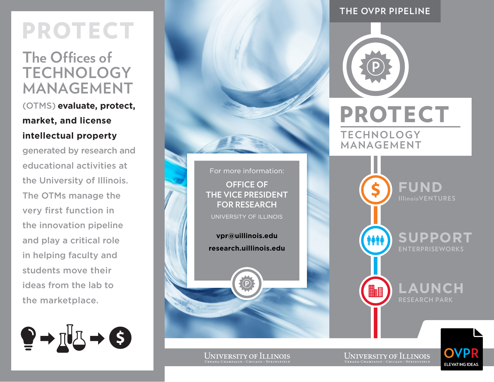# **PROTECT**

# **The Offices of Technology Management**

(OTMs) **evaluate, protect, market, and license intellectual property**

generated by research and educational activities at the University of Illinois. The OTMs manage the very first function in the innovation pipeline and play a critical role in helping faculty and students move their ideas from the lab to the marketplace.



## **the ovpr pipeline**



**Technology** 

**Management fund IllinoisVENTURES support TATI EnterpriseWorks launch H Research Park**

UNIVERSITY OF ILLINOIS

For more information:

**OFFICE OF THE VICE PRESIDENT FOR RESEARCH** University of Illinois

**vpr@uillinois.edu research.uillinois.edu**

 $\left( \widehat{\mathsf{P}}\right)$ 

UNIVERSITY OF ILLINOIS<br>Urbana-Champaign · Chicago · Springfield